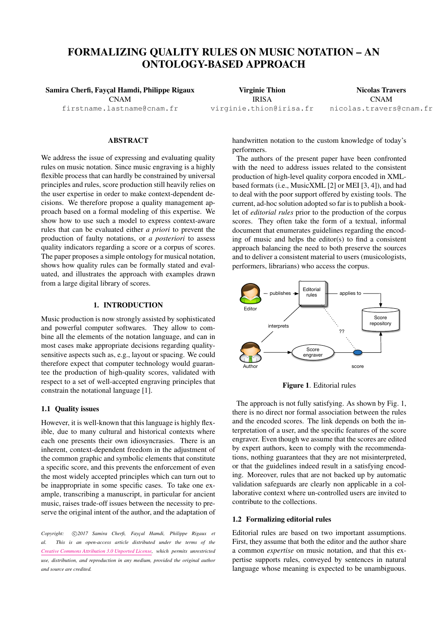# FORMALIZING QUALITY RULES ON MUSIC NOTATION – AN ONTOLOGY-BASED APPROACH

Samira Cherfi, Fayçal Hamdi, Philippe Rigaux CNAM [firstname.lastname@cnam.fr](mailto:firstname.lastname@cnam.fr)

Virginie Thion IRISA [virginie.thion@irisa.fr](mailto:virginie.thion@irisa.fr) Nicolas Travers CNAM [nicolas.travers@cnam.fr](mailto:nicolas.travers@cnam.fr)

# ABSTRACT

We address the issue of expressing and evaluating quality rules on music notation. Since music engraving is a highly flexible process that can hardly be constrained by universal principles and rules, score production still heavily relies on the user expertise in order to make context-dependent decisions. We therefore propose a quality management approach based on a formal modeling of this expertise. We show how to use such a model to express context-aware rules that can be evaluated either *a priori* to prevent the production of faulty notations, or *a posteriori* to assess quality indicators regarding a score or a corpus of scores. The paper proposes a simple ontology for musical notation, shows how quality rules can be formally stated and evaluated, and illustrates the approach with examples drawn from a large digital library of scores.

# 1. INTRODUCTION

Music production is now strongly assisted by sophisticated and powerful computer softwares. They allow to combine all the elements of the notation language, and can in most cases make appropriate decisions regarding qualitysensitive aspects such as, e.g., layout or spacing. We could therefore expect that computer technology would guarantee the production of high-quality scores, validated with respect to a set of well-accepted engraving principles that constrain the notational language [\[1\]](#page-6-0).

#### 1.1 Quality issues

However, it is well-known that this language is highly flexible, due to many cultural and historical contexts where each one presents their own idiosyncrasies. There is an inherent, context-dependent freedom in the adjustment of the common graphic and symbolic elements that constitute a specific score, and this prevents the enforcement of even the most widely accepted principles which can turn out to be inappropriate in some specific cases. To take one example, transcribing a manuscript, in particular for ancient music, raises trade-off issues between the necessity to preserve the original intent of the author, and the adaptation of

Copyright:  $\bigcirc$ 2017 Samira Cherfi, Fayçal Hamdi, Philippe Rigaux et *al. This is an open-access article distributed under the terms of the [Creative Commons Attribution 3.0 Unported License,](http://creativecommons.org/licenses/by/3.0/) which permits unrestricted use, distribution, and reproduction in any medium, provided the original author and source are credited.*

handwritten notation to the custom knowledge of today's performers.

The authors of the present paper have been confronted with the need to address issues related to the consistent production of high-level quality corpora encoded in XMLbased formats (i.e., MusicXML [\[2\]](#page-6-1) or MEI [\[3,](#page-6-2) [4\]](#page-6-3)), and had to deal with the poor support offered by existing tools. The current, ad-hoc solution adopted so far is to publish a booklet of *editorial rules* prior to the production of the corpus scores. They often take the form of a textual, informal document that enumerates guidelines regarding the encoding of music and helps the editor(s) to find a consistent approach balancing the need to both preserve the sources and to deliver a consistent material to users (musicologists, performers, librarians) who access the corpus.

<span id="page-0-0"></span>

Figure 1. Editorial rules

The approach is not fully satisfying. As shown by Fig. [1,](#page-0-0) there is no direct nor formal association between the rules and the encoded scores. The link depends on both the interpretation of a user, and the specific features of the score engraver. Even though we assume that the scores are edited by expert authors, keen to comply with the recommendations, nothing guarantees that they are not misinterpreted, or that the guidelines indeed result in a satisfying encoding. Moreover, rules that are not backed up by automatic validation safeguards are clearly non applicable in a collaborative context where un-controlled users are invited to contribute to the collections.

# 1.2 Formalizing editorial rules

Editorial rules are based on two important assumptions. First, they assume that both the editor and the author share a common *expertise* on music notation, and that this expertise supports rules, conveyed by sentences in natural language whose meaning is expected to be unambiguous.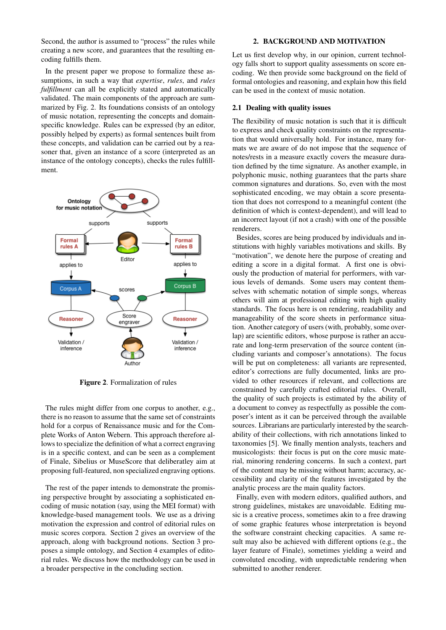Second, the author is assumed to "process" the rules while creating a new score, and guarantees that the resulting encoding fulfills them.

In the present paper we propose to formalize these assumptions, in such a way that *expertise*, *rules*, and *rules fulfillment* can all be explicitly stated and automatically validated. The main components of the approach are summarized by Fig. [2.](#page-1-0) Its foundations consists of an ontology of music notation, representing the concepts and domainspecific knowledge. Rules can be expressed (by an editor, possibly helped by experts) as formal sentences built from these concepts, and validation can be carried out by a reasoner that, given an instance of a score (interpreted as an instance of the ontology concepts), checks the rules fulfillment.

<span id="page-1-0"></span>

Figure 2. Formalization of rules

The rules might differ from one corpus to another, e.g., there is no reason to assume that the same set of constraints hold for a corpus of Renaissance music and for the Complete Works of Anton Webern. This approach therefore allows to specialize the definition of what a correct engraving is in a specific context, and can be seen as a complement of Finale, Sibelius or MuseScore that deliberatley aim at proposing full-featured, non specialized engraving options.

The rest of the paper intends to demonstrate the promising perspective brought by associating a sophisticated encoding of music notation (say, using the MEI format) with knowledge-based management tools. We use as a driving motivation the expression and control of editorial rules on music scores corpora. Section [2](#page-1-1) gives an overview of the approach, along with background notions. Section [3](#page-2-0) proposes a simple ontology, and Section [4](#page-5-0) examples of editorial rules. We discuss how the methodology can be used in a broader perspective in the concluding section.

#### 2. BACKGROUND AND MOTIVATION

<span id="page-1-1"></span>Let us first develop why, in our opinion, current technology falls short to support quality assessments on score encoding. We then provide some background on the field of formal ontologies and reasoning, and explain how this field can be used in the context of music notation.

# 2.1 Dealing with quality issues

The flexibility of music notation is such that it is difficult to express and check quality constraints on the representation that would universally hold. For instance, many formats we are aware of do not impose that the sequence of notes/rests in a measure exactly covers the measure duration defined by the time signature. As another example, in polyphonic music, nothing guarantees that the parts share common signatures and durations. So, even with the most sophisticated encoding, we may obtain a score presentation that does not correspond to a meaningful content (the definition of which is context-dependent), and will lead to an incorrect layout (if not a crash) with one of the possible renderers.

Besides, scores are being produced by individuals and institutions with highly variables motivations and skills. By "motivation", we denote here the purpose of creating and editing a score in a digital format. A first one is obviously the production of material for performers, with various levels of demands. Some users may content themselves with schematic notation of simple songs, whereas others will aim at professional editing with high quality standards. The focus here is on rendering, readability and manageability of the score sheets in performance situation. Another category of users (with, probably, some overlap) are scientific editors, whose purpose is rather an accurate and long-term preservation of the source content (including variants and composer's annotations). The focus will be put on completeness: all variants are represented, editor's corrections are fully documented, links are provided to other resources if relevant, and collections are constrained by carefully crafted editorial rules. Overall, the quality of such projects is estimated by the ability of a document to convey as respectfully as possible the composer's intent as it can be perceived through the available sources. Librarians are particularly interested by the searchability of their collections, with rich annotations linked to taxonomies [\[5\]](#page-6-4). We finally mention analysts, teachers and musicologists: their focus is put on the core music material, minoring rendering concerns. In such a context, part of the content may be missing without harm; accuracy, accessibility and clarity of the features investigated by the analytic process are the main quality factors.

Finally, even with modern editors, qualified authors, and strong guidelines, mistakes are unavoidable. Editing music is a creative process, sometimes akin to a free drawing of some graphic features whose interpretation is beyond the software constraint checking capacities. A same result may also be achieved with different options (e.g., the layer feature of Finale), sometimes yielding a weird and convoluted encoding, with unpredictable rendering when submitted to another renderer.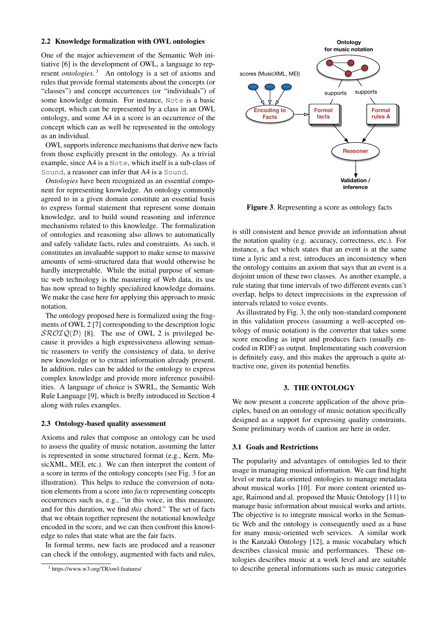#### 2.2 Knowledge formalization with OWL ontologies

One of the major achievement of the Semantic Web initiative [\[6\]](#page-6-5) is the development of OWL, a language to represent *ontologies*. [1](#page-2-1) An ontology is a set of axioms and rules that provide formal statements about the concepts (or "classes") and concept occurrences (or "individuals") of some knowledge domain. For instance, Note is a basic concept, which can be represented by a class in an OWL ontology, and some A4 in a score is an occurrence of the concept which can as well be represented in the ontology as an individual.

OWL supports inference mechanisms that derive new facts from those explicitly present in the ontology. As a trivial example, since A4 is a Note, which itself is a sub-class of Sound, a reasoner can infer that A4 is a Sound.

*Ontologies* have been recognized as an essential component for representing knowledge. An ontology commonly agreed to in a given domain constitute an essential basis to express formal statement that represent some domain knowledge, and to build sound reasoning and inference mechanisms related to this knowledge. The formalization of ontologies and reasoning also allows to automatically and safely validate facts, rules and constraints. As such, it constitutes an invaluable support to make sense to massive amounts of semi-structured data that would otherwise be hardly interpretable. While the initial purpose of semantic web technology is the mastering of Web data, its use has now spread to highly specialized knowledge domains. We make the case here for applying this approach to music notation.

The ontology proposed here is formalized using the fragments of OWL 2 [\[7\]](#page-6-6) corresponding to the description logic  $\mathcal{SROIQ}(\mathcal{D})$  [\[8\]](#page-6-7). The use of OWL 2 is privileged because it provides a high expressiveness allowing semantic reasoners to verify the consistency of data, to derive new knowledge or to extract information already present. In addition, rules can be added to the ontology to express complex knowledge and provide more inference possibilities. A language of choice is SWRL, the Semantic Web Rule Language [\[9\]](#page-6-8), which is brefly introduced in Section [4](#page-5-0) along with rules examples.

#### 2.3 Ontology-based quality assessment

Axioms and rules that compose an ontology can be used to assess the quality of music notation, assuming the latter is represented in some structured format (e.g., Kern, MusicXML, MEI, etc.). We can then interpret the content of a score in terms of the ontology concepts (see Fig. [3](#page-2-2) for an illustration). This helps to reduce the conversion of notation elements from a score into *facts* representing concepts occurrences such as, e.g., "in this voice, in this measure, and for this duration, we find *this* chord." The set of facts that we obtain together represent the notational knowledge encoded in the score, and we can then confront this knowledge to rules that state what are the fair facts.

In formal terms, new facts are produced and a reasoner can check if the ontology, augmented with facts and rules,

<span id="page-2-2"></span>

Figure 3. Representing a score as ontology facts

is still consistent and hence provide an information about the notation quality (e.g. accuracy, correctness, etc.). For instance, a fact which states that an event is at the same time a lyric and a rest, introduces an inconsistency when the ontology contains an axiom that says that an event is a disjoint union of these two classes. As another example, a rule stating that time intervals of two different events can't overlap, helps to detect imprecisions in the expression of intervals related to voice events.

As illustrated by Fig. [3,](#page-2-2) the only non-standard component in this validation process (assuming a well-accepted ontology of music notation) is the converter that takes some score encoding as input and produces facts (usually encoded in RDF) as output. Implementating such conversion is definitely easy, and this makes the approach a quite attractive one, given its potential benefits.

# 3. THE ONTOLOGY

<span id="page-2-0"></span>We now present a concrete application of the above principles, based on an ontology of music notation specifically designed as a support for expressing quality constraints. Some preliminary words of caution are here in order.

# 3.1 Goals and Restrictions

The popularity and advantages of ontologies led to their usage in managing musical information. We can find hight level or meta data oriented ontologies to manage metadata about musical works [\[10\]](#page-6-9). For more content oriented usage, Raimond and al. proposed the Music Ontology [\[11\]](#page-6-10) to manage basic information about musical works and artists. The objective is to integrate musical works in the Semantic Web and the ontology is consequently used as a base for many music-oriented web services. A similar work is the Kanzaki Ontology [\[12\]](#page-6-11), a music vocabulary which describes classical music and performances. These ontologies describes music at a work level and are suitable to describe general informations such as music categories

<span id="page-2-1"></span><sup>1</sup> https://www.w3.org/TR/owl-features/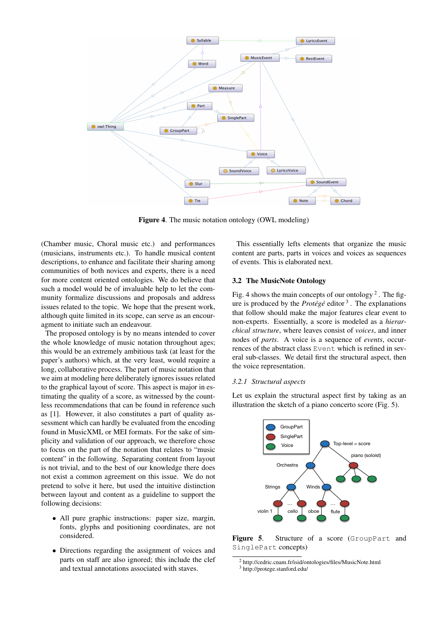

<span id="page-3-0"></span>Figure 4. The music notation ontology (OWL modeling)

(Chamber music, Choral music etc.) and performances (musicians, instruments etc.). To handle musical content descriptions, to enhance and facilitate their sharing among communities of both novices and experts, there is a need for more content oriented ontologies. We do believe that such a model would be of invaluable help to let the community formalize discussions and proposals and address issues related to the topic. We hope that the present work, although quite limited in its scope, can serve as an encouragment to initiate such an endeavour.

The proposed ontology is by no means intended to cover the whole knowledge of music notation throughout ages; this would be an extremely ambitious task (at least for the paper's authors) which, at the very least, would require a long, collaborative process. The part of music notation that we aim at modeling here deliberately ignores issues related to the graphical layout of score. This aspect is major in estimating the quality of a score, as witnessed by the countless recommendations that can be found in reference such as [\[1\]](#page-6-0). However, it also constitutes a part of quality assessment which can hardly be evaluated from the encoding found in MusicXML or MEI formats. For the sake of simplicity and validation of our approach, we therefore chose to focus on the part of the notation that relates to "music content" in the following. Separating content from layout is not trivial, and to the best of our knowledge there does not exist a common agreement on this issue. We do not pretend to solve it here, but used the intuitive distinction between layout and content as a guideline to support the following decisions:

- All pure graphic instructions: paper size, margin, fonts, glyphs and positioning coordinates, are not considered.
- Directions regarding the assignment of voices and parts on staff are also ignored; this include the clef and textual annotations associated with staves.

This essentially lefts elements that organize the music content are parts, parts in voices and voices as sequences of events. This is elaborated next.

# 3.2 The MusicNote Ontology

Fig. [4](#page-3-0) shows the main concepts of our ontology<sup>[2](#page-3-1)</sup>. The figure is produced by the *Protégé* editor [3](#page-3-2) . The explanations that follow should make the major features clear event to non-experts. Essentially, a score is modeled as a *hierarchical structure*, where leaves consist of *voices*, and inner nodes of *parts*. A voice is a sequence of *events*, occurrences of the abstract class Event which is refined in several sub-classes. We detail first the structural aspect, then the voice representation.

#### *3.2.1 Structural aspects*

Let us explain the structural aspect first by taking as an illustration the sketch of a piano concerto score (Fig. [5\)](#page-3-3).

<span id="page-3-3"></span>

Figure 5. Structure of a score (GroupPart and SinglePart concepts)

<span id="page-3-2"></span><span id="page-3-1"></span><sup>2</sup> <http://cedric.cnam.fr/isid/ontologies/files/MusicNote.html> <sup>3</sup> <http://protege.stanford.edu/>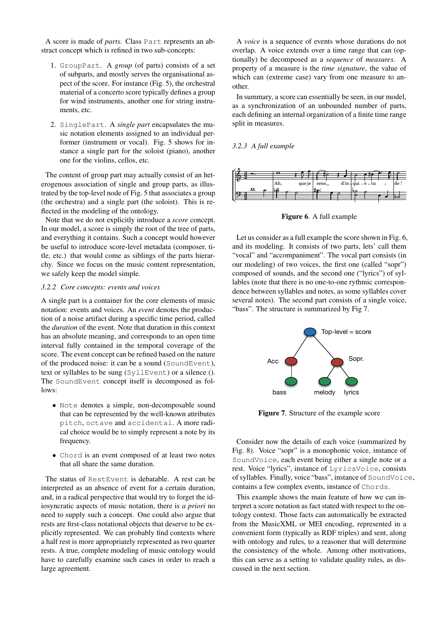A score is made of *parts*. Class Part represents an abstract concept which is refined in two sub-concepts:

- 1. GroupPart. A *group* (of parts) consists of a set of subparts, and mostly serves the organisational aspect of the score. For instance (Fig. [5\)](#page-3-3), the orchestral material of a concerto score typically defines a group for wind instruments, another one for string instruments, etc.
- 2. SinglePart. A *single part* encapsulates the music notation elements assigned to an individual performer (instrument or vocal). Fig. [5](#page-3-3) shows for instance a single part for the soloist (piano), another one for the violins, cellos, etc.

The content of group part may actually consist of an heterogenous association of single and group parts, as illustrated by the top-level node of Fig. [5](#page-3-3) that associates a group (the orchestra) and a single part (the soloist). This is reflected in the modeling of the ontology.

Note that we do not explicitly introduce a *score* concept. In our model, a score is simply the root of the tree of parts, and everything it contains. Such a concept would however be useful to introduce score-level metadata (composer, title, etc.) that would come as siblings of the parts hierarchy. Since we focus on the music content representation, we safely keep the model simple.

#### *3.2.2 Core concepts: events and voices*

A single part is a container for the core elements of music notation: events and voices. An *event* denotes the production of a noise artifact during a specific time period, called the *duration* of the event. Note that duration in this context has an absolute meaning, and corresponds to an open time interval fully contained in the temporal coverage of the score. The event concept can be refined based on the nature of the produced noise: it can be a sound (SoundEvent), text or syllables to be sung (SyllEvent) or a silence (). The SoundEvent concept itself is decomposed as follows:

- Note denotes a simple, non-decomposable sound that can be represented by the well-known attributes pitch, octave and accidental. A more radical choice would be to simply represent a note by its frequency.
- Chord is an event composed of at least two notes that all share the same duration.

The status of RestEvent is debatable. A rest can be interpreted as an absence of event for a certain duration, and, in a radical perspective that would try to forget the idiosyncratic aspects of music notation, there is *a priori* no need to supply such a concept. One could also argue that rests are first-class notational objects that deserve to be explicitly represented. We can probably find contexts where a half rest is more appropriately represented as two quarter rests. A true, complete modeling of music ontology would have to carefully examine such cases in order to reach a large agreement.

A *voice* is a sequence of events whose durations do not overlap. A voice extends over a time range that can (optionally) be decomposed as a *sequence* of *measures*. A property of a measure is the *time signature*, the value of which can (extreme case) vary from one measure to another.

In summary, a score can essentially be seen, in our model, as a synchronization of an unbounded number of parts, each defining an internal organization of a finite time range split in measures.

### *3.2.3 A full example*

<span id="page-4-0"></span>

Figure 6. A full example

Let us consider as a full example the score shown in Fig. [6,](#page-4-0) and its modeling. It consists of two parts, lets' call them "vocal" and "accompaniment". The vocal part consists (in our modeling) of two voices, the first one (called "sopr") composed of sounds, and the second one ("lyrics") of syllables (note that there is no one-to-one rythmic correspondence between syllables and notes, as some syllables cover several notes). The second part consists of a single voice, "bass". The structure is summarized by Fig [7.](#page-4-1)

<span id="page-4-1"></span>

Figure 7. Structure of the example score

Consider now the details of each voice (summarized by Fig. [8\)](#page-5-1). Voice "sopr" is a monophonic voice, instance of SoundVoice, each event being either a single note or a rest. Voice "lyrics", instance of LyricsVoice, consists of syllables. Finally, voice "bass", instance of SoundVoice, contains a few complex events, instance of Chords.

This example shows the main feature of how we can interpret a score notation as fact stated with respect to the ontology context. Those facts can automatically be extracted from the MusicXML or MEI encoding, represented in a convenient form (typically as RDF triples) and sent, along with ontology and rules, to a reasoner that will determine the consistency of the whole. Among other motivations, this can serve as a setting to validate quality rules, as discussed in the next section.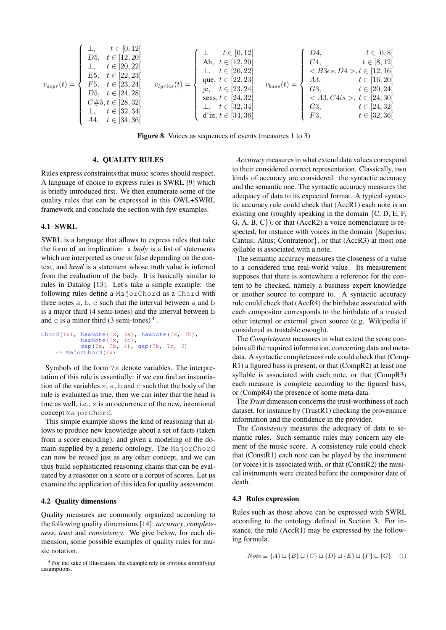$$
v_{sopr}(t) = \begin{cases} \bot, & t \in [0, 12[ \\ D5, & t \in [12, 20[ \\ L, & t \in [20, 22[ \\ E5, & t \in [22, 23[ \\ D5, & t \in [24, 28[ \\ D5, & t \in [24, 28[ \\ C#5, t \in [28, 32[ \\ A4, & t \in [34, 36[ \\ \end{cases} \text{ where } t \in [34, 36[ \\ t \in [34, 36[ \\ \end{cases} \text{ where } t \in [34, 36[ \\ t \in [34, 36[ \\ \end{cases} \text{ where } t \in [34, 36[ \\ t \in [34, 36[ \\ \end{cases} \text{ where } t \in [34, 36[ \\ t \in [32, 34[ \\ t \in [32, 34[ \\ t \in [32, 36[ \\ \end{cases} \text{ where } t \in [34, 36[ \\ t \in [32, 36[ \\ t \in [32, 36[ \\ \end{cases} \text{ where } t \in [34, 36[ \\ t \in [32, 36[ \\ t \in [32, 36[ \\ \end{cases} \text{ where } t \in [34, 36[ \\ t \in [32, 36[ \\ t \in [32, 36[ \\ \end{cases} \text{ where } t \in [34, 36[ \\ t \in [32, 36[ \\ t \in [32, 36[
$$

<span id="page-5-1"></span>Figure 8. Voices as sequences of events (measures 1 to 3)

# 4. QUALITY RULES

<span id="page-5-0"></span>Rules express constraints that music scores should respect. A language of choice to express rules is SWRL [\[9\]](#page-6-8) which is briefly introduced first. We then enumerate some of the quality rules that can be expressed in this OWL+SWRL framework and conclude the section with few examples.

# 4.1 SWRL

SWRL is a language that allows to express rules that take the form of an implication: a *body* is a list of statements which are interpreted as true or false depending on the context, and *head* is a statement whose truth value is inferred from the evaluation of the body. It is basically similar to rules in Datalog [\[13\]](#page-6-12). Let's take a simple example: the following rules define a MajorChord as a Chord with three notes a, b, c such that the interval between a and b is a major third (4 semi-tones) and the interval between b and  $\circ$  is a minor third (3 semi-tones)<sup>[4](#page-5-2)</sup>.

```
Chord(?x), hasNote(?x, ?a), hasNote(?x, ?b),
hasNote(?x, ?c),
gap(?a, ?b, 4), gap(?b, ?c, 3)
      -> MajorChord(?x)
```
Symbols of the form ?x denote variables. The interpretation of this rule is essentially: if we can find an instantiation of the variables  $x$ ,  $a$ ,  $b$  and  $c$  such that the body of the rule is evaluated as true, then we can infer that the head is true as well, i.e., x is an occurrence of the new, intentional concept MajorChord.

This simple example shows the kind of reasoning that allows to produce new knowledge about a set of facts (taken from a score encoding), and given a modeling of the domain supplied by a generic ontology. The MajorChord can now be reused just as any other concept, and we can thus build sophisticated reasoning chains that can be evaluated by a reasoner on a score or a corpus of scores. Let us examine the application of this idea for quality assessment.

#### 4.2 Quality dimensions

Quality measures are commonly organized according to the following quality dimensions [\[14\]](#page-6-13): *accuracy*, *completeness*, *trust* and *consistency*. We give below, for each dimension, some possible examples of quality rules for music notation.

*Accuracy* measures in what extend data values correspond to their considered correct representation. Classically, two kinds of accuracy are considered: the syntactic accuracy and the semantic one. The syntactic accuracy measures the adequacy of data to its expected format. A typical syntactic accuracy rule could check that (AccR1) each note is an existing one (roughly speaking in the domain  $\{C, D, E, F, \}$ G, A, B, C}), or that (AccR2) a voice nomenclature is respected, for instance with voices in the domain {Superius; Cantus; Altus; Contratenor}, or that (AccR3) at most one syllable is associated with a note.

The semantic accuracy measures the closeness of a value to a considered true real-world value. Its measurement supposes that there is somewhere a reference for the content to be checked, namely a business expert knowledge or another source to compare to. A syntactic accuracy rule could check that (AccR4) the birthdate associated with each compositor corresponds to the birthdate of a trusted other internal or external given source (e.g. Wikipedia if considered as trustable enough).

The *Completeness* measures in what extent the score contains all the required information, concerning data and metadata. A syntactic completeness rule could check that (Comp-R1) a figured bass is present, or that (CompR2) at least one syllable is associated with each note, or that (CompR3) each measure is complete according to the figured bass, or (CompR4) the presence of some meta-data.

The *Trust* dimension concerns the trust-worthiness of each dataset, for instance by (TrustR1) checking the provenance information and the confidence in the provider.

The *Consistency* measures the adequacy of data to semantic rules. Such semantic rules may concern any element of the music score. A consistency rule could check that (ConstR1) each note can be played by the instrument (or voice) it is associated with, or that (ConstR2) the musical instruments were created before the compositor date of death.

#### 4.3 Rules expression

Rules such as those above can be expressed with SWRL according to the ontology defined in Section [3.](#page-2-0) For instance, the rule (AccR1) may be expressed by the following formula.

$$
Note \equiv \{A\} \sqcup \{B\} \sqcup \{C\} \sqcup \{D\} \sqcup \{E\} \sqcup \{F\} \sqcup \{G\} \tag{1}
$$

<span id="page-5-2"></span><sup>4</sup> For the sake of illustration, the example rely on obvious simplifying assumptions.